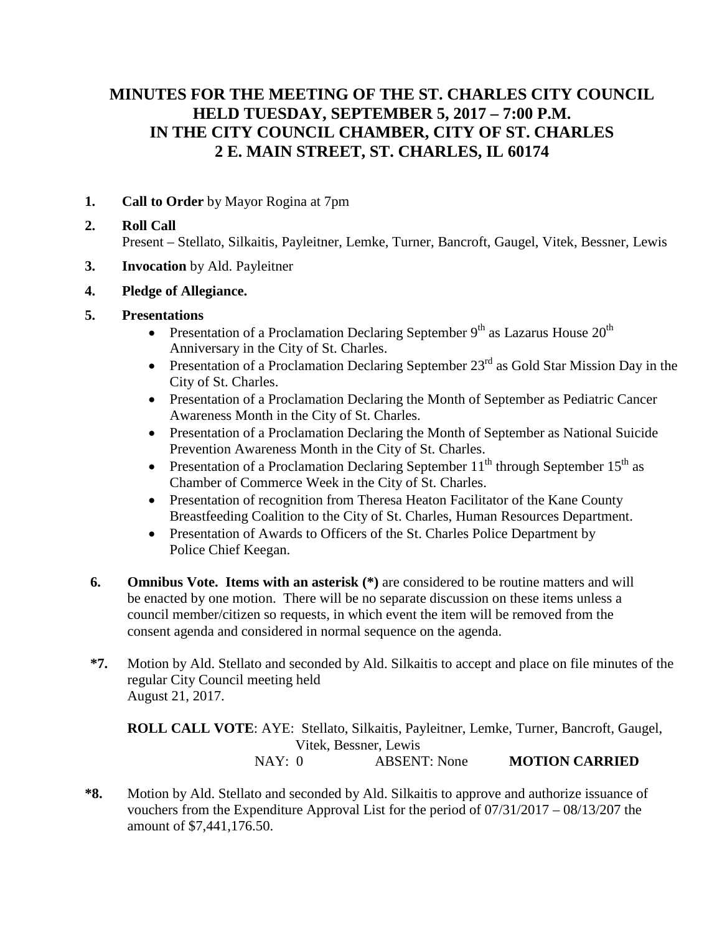# **MINUTES FOR THE MEETING OF THE ST. CHARLES CITY COUNCIL HELD TUESDAY, SEPTEMBER 5, 2017 – 7:00 P.M. IN THE CITY COUNCIL CHAMBER, CITY OF ST. CHARLES 2 E. MAIN STREET, ST. CHARLES, IL 60174**

**1. Call to Order** by Mayor Rogina at 7pm

## **2. Roll Call** Present – Stellato, Silkaitis, Payleitner, Lemke, Turner, Bancroft, Gaugel, Vitek, Bessner, Lewis

- **3. Invocation** by Ald. Payleitner
- **4. Pledge of Allegiance.**
- **5. Presentations**
	- Presentation of a Proclamation Declaring September  $9<sup>th</sup>$  as Lazarus House  $20<sup>th</sup>$ Anniversary in the City of St. Charles.
	- Presentation of a Proclamation Declaring September  $23<sup>rd</sup>$  as Gold Star Mission Day in the City of St. Charles.
	- Presentation of a Proclamation Declaring the Month of September as Pediatric Cancer Awareness Month in the City of St. Charles.
	- Presentation of a Proclamation Declaring the Month of September as National Suicide Prevention Awareness Month in the City of St. Charles.
	- Presentation of a Proclamation Declaring September  $11^{th}$  through September  $15^{th}$  as Chamber of Commerce Week in the City of St. Charles.
	- Presentation of recognition from Theresa Heaton Facilitator of the Kane County Breastfeeding Coalition to the City of St. Charles, Human Resources Department.
	- Presentation of Awards to Officers of the St. Charles Police Department by Police Chief Keegan.
- **6. Omnibus Vote. Items with an asterisk (\*)** are considered to be routine matters and will be enacted by one motion. There will be no separate discussion on these items unless a council member/citizen so requests, in which event the item will be removed from the consent agenda and considered in normal sequence on the agenda.
- **\*7.** Motion by Ald. Stellato and seconded by Ald. Silkaitis to accept and place on file minutes of the regular City Council meeting held August 21, 2017.

**ROLL CALL VOTE**: AYE: Stellato, Silkaitis, Payleitner, Lemke, Turner, Bancroft, Gaugel, Vitek, Bessner, Lewis NAY: 0 ABSENT: None **MOTION CARRIED**

**\*8.** Motion by Ald. Stellato and seconded by Ald. Silkaitis to approve and authorize issuance of vouchers from the Expenditure Approval List for the period of 07/31/2017 – 08/13/207 the amount of \$7,441,176.50.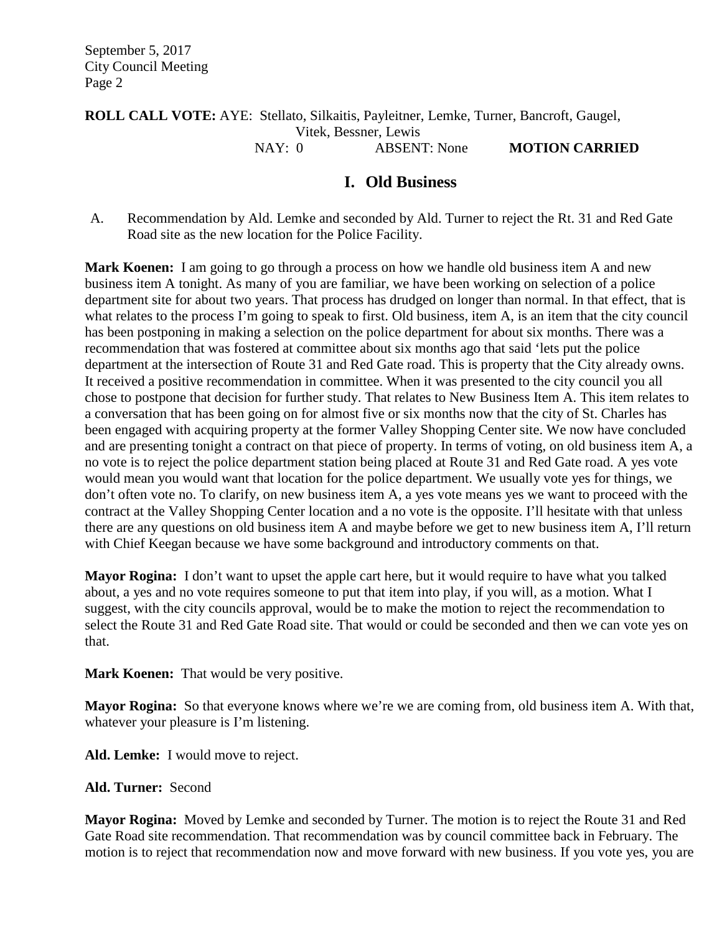### **ROLL CALL VOTE:** AYE: Stellato, Silkaitis, Payleitner, Lemke, Turner, Bancroft, Gaugel, Vitek, Bessner, Lewis NAY: 0 ABSENT: None **MOTION CARRIED**

# **I. Old Business**

A. Recommendation by Ald. Lemke and seconded by Ald. Turner to reject the Rt. 31 and Red Gate Road site as the new location for the Police Facility.

Mark Koenen: I am going to go through a process on how we handle old business item A and new business item A tonight. As many of you are familiar, we have been working on selection of a police department site for about two years. That process has drudged on longer than normal. In that effect, that is what relates to the process I'm going to speak to first. Old business, item A, is an item that the city council has been postponing in making a selection on the police department for about six months. There was a recommendation that was fostered at committee about six months ago that said 'lets put the police department at the intersection of Route 31 and Red Gate road. This is property that the City already owns. It received a positive recommendation in committee. When it was presented to the city council you all chose to postpone that decision for further study. That relates to New Business Item A. This item relates to a conversation that has been going on for almost five or six months now that the city of St. Charles has been engaged with acquiring property at the former Valley Shopping Center site. We now have concluded and are presenting tonight a contract on that piece of property. In terms of voting, on old business item A, a no vote is to reject the police department station being placed at Route 31 and Red Gate road. A yes vote would mean you would want that location for the police department. We usually vote yes for things, we don't often vote no. To clarify, on new business item A, a yes vote means yes we want to proceed with the contract at the Valley Shopping Center location and a no vote is the opposite. I'll hesitate with that unless there are any questions on old business item A and maybe before we get to new business item A, I'll return with Chief Keegan because we have some background and introductory comments on that.

**Mayor Rogina:** I don't want to upset the apple cart here, but it would require to have what you talked about, a yes and no vote requires someone to put that item into play, if you will, as a motion. What I suggest, with the city councils approval, would be to make the motion to reject the recommendation to select the Route 31 and Red Gate Road site. That would or could be seconded and then we can vote yes on that.

**Mark Koenen:** That would be very positive.

**Mayor Rogina:** So that everyone knows where we're we are coming from, old business item A. With that, whatever your pleasure is I'm listening.

**Ald. Lemke:** I would move to reject.

### **Ald. Turner:** Second

**Mayor Rogina:** Moved by Lemke and seconded by Turner. The motion is to reject the Route 31 and Red Gate Road site recommendation. That recommendation was by council committee back in February. The motion is to reject that recommendation now and move forward with new business. If you vote yes, you are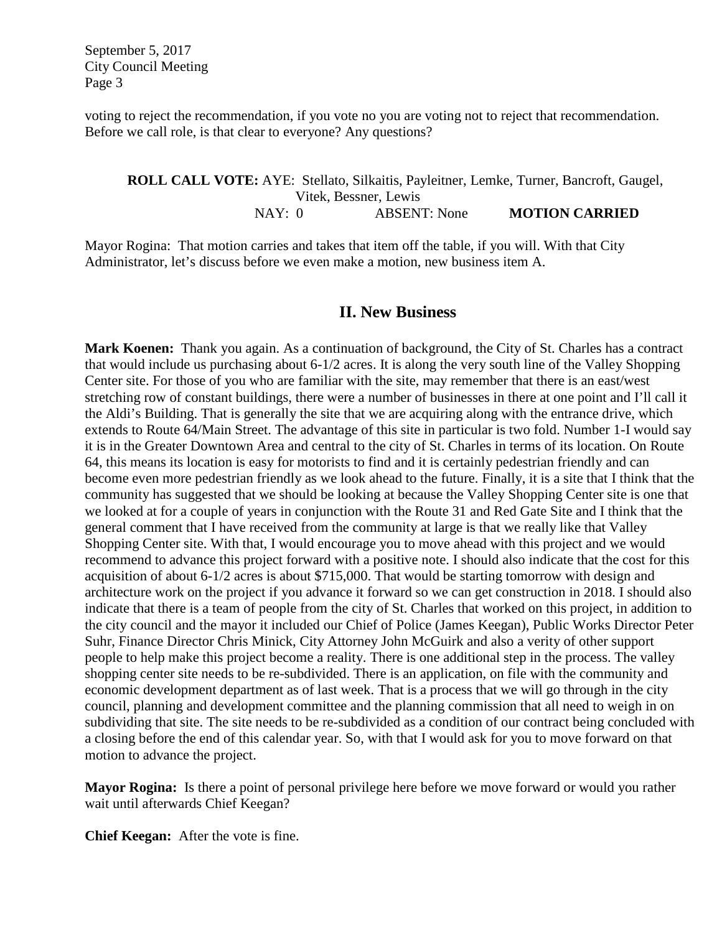voting to reject the recommendation, if you vote no you are voting not to reject that recommendation. Before we call role, is that clear to everyone? Any questions?

#### **ROLL CALL VOTE:** AYE: Stellato, Silkaitis, Payleitner, Lemke, Turner, Bancroft, Gaugel, Vitek, Bessner, Lewis NAY: 0 ABSENT: None **MOTION CARRIED**

Mayor Rogina: That motion carries and takes that item off the table, if you will. With that City Administrator, let's discuss before we even make a motion, new business item A.

## **II. New Business**

**Mark Koenen:** Thank you again. As a continuation of background, the City of St. Charles has a contract that would include us purchasing about 6-1/2 acres. It is along the very south line of the Valley Shopping Center site. For those of you who are familiar with the site, may remember that there is an east/west stretching row of constant buildings, there were a number of businesses in there at one point and I'll call it the Aldi's Building. That is generally the site that we are acquiring along with the entrance drive, which extends to Route 64/Main Street. The advantage of this site in particular is two fold. Number 1-I would say it is in the Greater Downtown Area and central to the city of St. Charles in terms of its location. On Route 64, this means its location is easy for motorists to find and it is certainly pedestrian friendly and can become even more pedestrian friendly as we look ahead to the future. Finally, it is a site that I think that the community has suggested that we should be looking at because the Valley Shopping Center site is one that we looked at for a couple of years in conjunction with the Route 31 and Red Gate Site and I think that the general comment that I have received from the community at large is that we really like that Valley Shopping Center site. With that, I would encourage you to move ahead with this project and we would recommend to advance this project forward with a positive note. I should also indicate that the cost for this acquisition of about 6-1/2 acres is about \$715,000. That would be starting tomorrow with design and architecture work on the project if you advance it forward so we can get construction in 2018. I should also indicate that there is a team of people from the city of St. Charles that worked on this project, in addition to the city council and the mayor it included our Chief of Police (James Keegan), Public Works Director Peter Suhr, Finance Director Chris Minick, City Attorney John McGuirk and also a verity of other support people to help make this project become a reality. There is one additional step in the process. The valley shopping center site needs to be re-subdivided. There is an application, on file with the community and economic development department as of last week. That is a process that we will go through in the city council, planning and development committee and the planning commission that all need to weigh in on subdividing that site. The site needs to be re-subdivided as a condition of our contract being concluded with a closing before the end of this calendar year. So, with that I would ask for you to move forward on that motion to advance the project.

**Mayor Rogina:** Is there a point of personal privilege here before we move forward or would you rather wait until afterwards Chief Keegan?

**Chief Keegan:** After the vote is fine.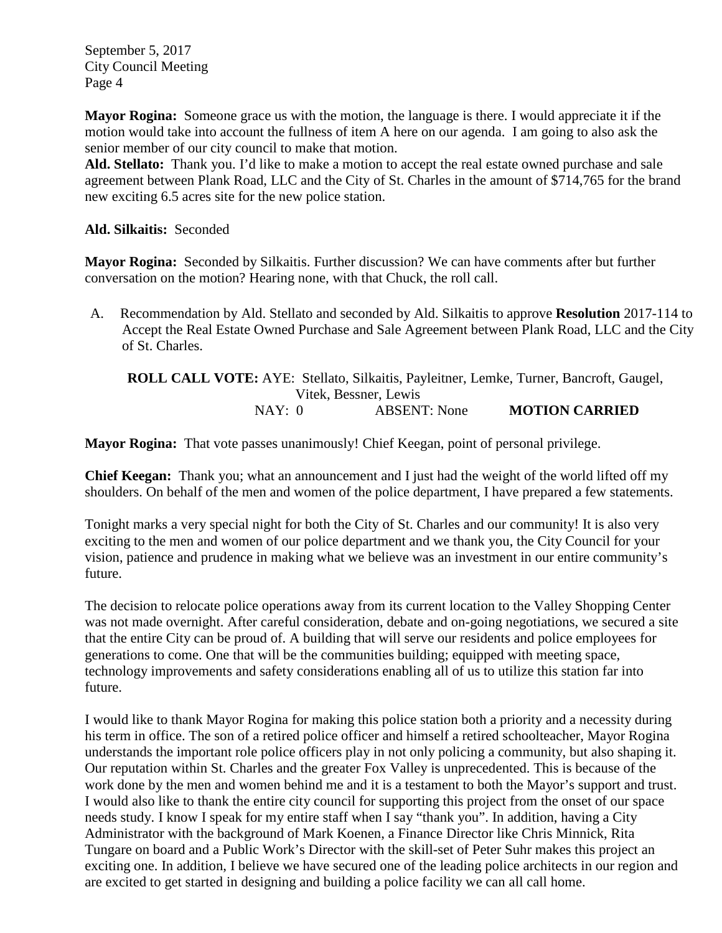**Mayor Rogina:** Someone grace us with the motion, the language is there. I would appreciate it if the motion would take into account the fullness of item A here on our agenda. I am going to also ask the senior member of our city council to make that motion.

**Ald. Stellato:** Thank you. I'd like to make a motion to accept the real estate owned purchase and sale agreement between Plank Road, LLC and the City of St. Charles in the amount of \$714,765 for the brand new exciting 6.5 acres site for the new police station.

## **Ald. Silkaitis:** Seconded

**Mayor Rogina:** Seconded by Silkaitis. Further discussion? We can have comments after but further conversation on the motion? Hearing none, with that Chuck, the roll call.

A. Recommendation by Ald. Stellato and seconded by Ald. Silkaitis to approve **Resolution** 2017-114 to Accept the Real Estate Owned Purchase and Sale Agreement between Plank Road, LLC and the City of St. Charles.

**ROLL CALL VOTE:** AYE: Stellato, Silkaitis, Payleitner, Lemke, Turner, Bancroft, Gaugel, Vitek, Bessner, Lewis NAY: 0 ABSENT: None **MOTION CARRIED**

**Mayor Rogina:** That vote passes unanimously! Chief Keegan, point of personal privilege.

**Chief Keegan:** Thank you; what an announcement and I just had the weight of the world lifted off my shoulders. On behalf of the men and women of the police department, I have prepared a few statements.

Tonight marks a very special night for both the City of St. Charles and our community! It is also very exciting to the men and women of our police department and we thank you, the City Council for your vision, patience and prudence in making what we believe was an investment in our entire community's future.

The decision to relocate police operations away from its current location to the Valley Shopping Center was not made overnight. After careful consideration, debate and on-going negotiations, we secured a site that the entire City can be proud of. A building that will serve our residents and police employees for generations to come. One that will be the communities building; equipped with meeting space, technology improvements and safety considerations enabling all of us to utilize this station far into future.

I would like to thank Mayor Rogina for making this police station both a priority and a necessity during his term in office. The son of a retired police officer and himself a retired schoolteacher, Mayor Rogina understands the important role police officers play in not only policing a community, but also shaping it. Our reputation within St. Charles and the greater Fox Valley is unprecedented. This is because of the work done by the men and women behind me and it is a testament to both the Mayor's support and trust. I would also like to thank the entire city council for supporting this project from the onset of our space needs study. I know I speak for my entire staff when I say "thank you". In addition, having a City Administrator with the background of Mark Koenen, a Finance Director like Chris Minnick, Rita Tungare on board and a Public Work's Director with the skill-set of Peter Suhr makes this project an exciting one. In addition, I believe we have secured one of the leading police architects in our region and are excited to get started in designing and building a police facility we can all call home.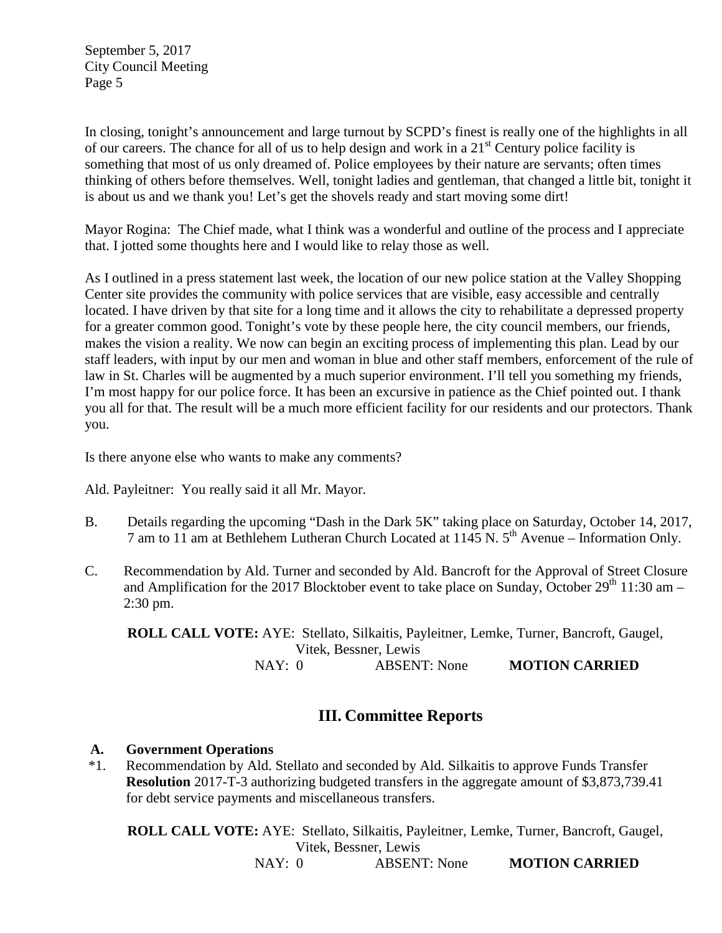In closing, tonight's announcement and large turnout by SCPD's finest is really one of the highlights in all of our careers. The chance for all of us to help design and work in a 21st Century police facility is something that most of us only dreamed of. Police employees by their nature are servants; often times thinking of others before themselves. Well, tonight ladies and gentleman, that changed a little bit, tonight it is about us and we thank you! Let's get the shovels ready and start moving some dirt!

Mayor Rogina: The Chief made, what I think was a wonderful and outline of the process and I appreciate that. I jotted some thoughts here and I would like to relay those as well.

As I outlined in a press statement last week, the location of our new police station at the Valley Shopping Center site provides the community with police services that are visible, easy accessible and centrally located. I have driven by that site for a long time and it allows the city to rehabilitate a depressed property for a greater common good. Tonight's vote by these people here, the city council members, our friends, makes the vision a reality. We now can begin an exciting process of implementing this plan. Lead by our staff leaders, with input by our men and woman in blue and other staff members, enforcement of the rule of law in St. Charles will be augmented by a much superior environment. I'll tell you something my friends, I'm most happy for our police force. It has been an excursive in patience as the Chief pointed out. I thank you all for that. The result will be a much more efficient facility for our residents and our protectors. Thank you.

Is there anyone else who wants to make any comments?

Ald. Payleitner: You really said it all Mr. Mayor.

- B. Details regarding the upcoming "Dash in the Dark 5K" taking place on Saturday, October 14, 2017, 7 am to 11 am at Bethlehem Lutheran Church Located at  $1145$  N.  $5^{th}$  Avenue – Information Only.
- C. Recommendation by Ald. Turner and seconded by Ald. Bancroft for the Approval of Street Closure and Amplification for the 2017 Blocktober event to take place on Sunday, October  $29<sup>th</sup> 11:30$  am – 2:30 pm.

**ROLL CALL VOTE:** AYE: Stellato, Silkaitis, Payleitner, Lemke, Turner, Bancroft, Gaugel, Vitek, Bessner, Lewis<br>0 ABSENT: None NAY: 0 ABSENT: None **MOTION CARRIED**

# **III. Committee Reports**

## **A. Government Operations**

\*1. Recommendation by Ald. Stellato and seconded by Ald. Silkaitis to approve Funds Transfer **Resolution** 2017-T-3 authorizing budgeted transfers in the aggregate amount of \$3,873,739.41 for debt service payments and miscellaneous transfers.

**ROLL CALL VOTE:** AYE: Stellato, Silkaitis, Payleitner, Lemke, Turner, Bancroft, Gaugel, Vitek, Bessner, Lewis

NAY: 0 ABSENT: None **MOTION CARRIED**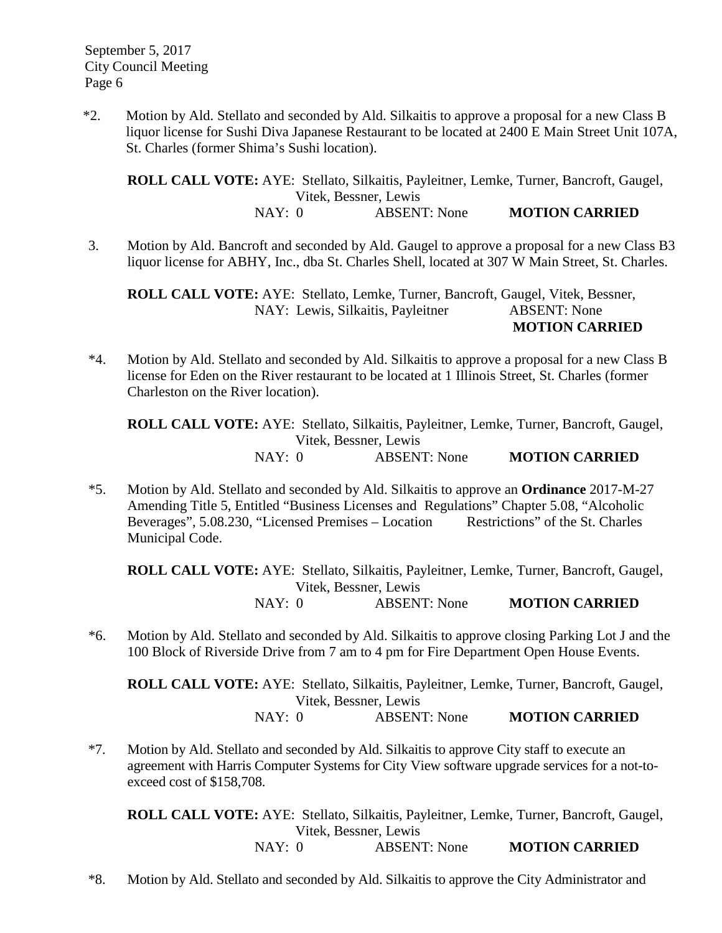\*2. Motion by Ald. Stellato and seconded by Ald. Silkaitis to approve a proposal for a new Class B liquor license for Sushi Diva Japanese Restaurant to be located at 2400 E Main Street Unit 107A, St. Charles (former Shima's Sushi location).

**ROLL CALL VOTE:** AYE: Stellato, Silkaitis, Payleitner, Lemke, Turner, Bancroft, Gaugel, Vitek, Bessner, Lewis NAY: 0 ABSENT: None **MOTION CARRIED**

3. Motion by Ald. Bancroft and seconded by Ald. Gaugel to approve a proposal for a new Class B3 liquor license for ABHY, Inc., dba St. Charles Shell, located at 307 W Main Street, St. Charles.

**ROLL CALL VOTE:** AYE: Stellato, Lemke, Turner, Bancroft, Gaugel, Vitek, Bessner, NAY: Lewis, Silkaitis, Payleitner **MOTION CARRIED**

\*4. Motion by Ald. Stellato and seconded by Ald. Silkaitis to approve a proposal for a new Class B license for Eden on the River restaurant to be located at 1 Illinois Street, St. Charles (former Charleston on the River location).

**ROLL CALL VOTE:** AYE: Stellato, Silkaitis, Payleitner, Lemke, Turner, Bancroft, Gaugel, Vitek, Bessner, Lewis NAY: 0 ABSENT: None **MOTION CARRIED**

\*5. Motion by Ald. Stellato and seconded by Ald. Silkaitis to approve an **Ordinance** 2017-M-27 Amending Title 5, Entitled "Business Licenses and Regulations" Chapter 5.08, "Alcoholic Beverages", 5.08.230, "Licensed Premises – Location Restrictions" of the St. Charles Municipal Code.

**ROLL CALL VOTE:** AYE: Stellato, Silkaitis, Payleitner, Lemke, Turner, Bancroft, Gaugel, Vitek, Bessner, Lewis NAY: 0 ABSENT: None **MOTION CARRIED**

- 
- \*6. Motion by Ald. Stellato and seconded by Ald. Silkaitis to approve closing Parking Lot J and the 100 Block of Riverside Drive from 7 am to 4 pm for Fire Department Open House Events.

**ROLL CALL VOTE:** AYE: Stellato, Silkaitis, Payleitner, Lemke, Turner, Bancroft, Gaugel, Vitek, Bessner, Lewis

NAY: 0 ABSENT: None **MOTION CARRIED**

\*7. Motion by Ald. Stellato and seconded by Ald. Silkaitis to approve City staff to execute an agreement with Harris Computer Systems for City View software upgrade services for a not-toexceed cost of \$158,708.

**ROLL CALL VOTE:** AYE: Stellato, Silkaitis, Payleitner, Lemke, Turner, Bancroft, Gaugel, Vitek, Bessner, Lewis NAY: 0 ABSENT: None **MOTION CARRIED**

\*8. Motion by Ald. Stellato and seconded by Ald. Silkaitis to approve the City Administrator and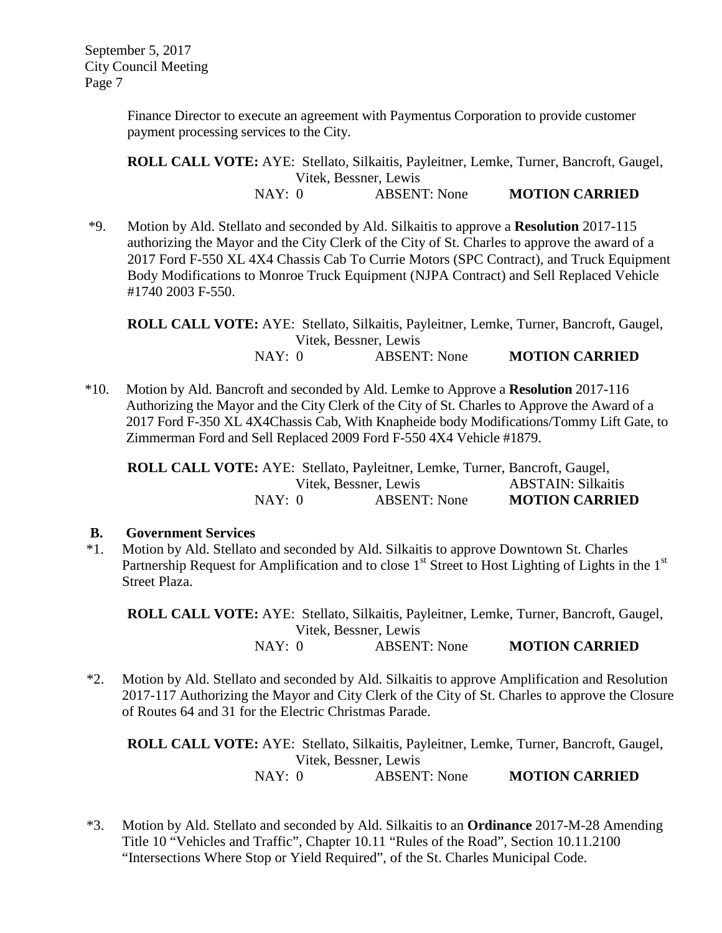> Finance Director to execute an agreement with Paymentus Corporation to provide customer payment processing services to the City.

**ROLL CALL VOTE:** AYE: Stellato, Silkaitis, Payleitner, Lemke, Turner, Bancroft, Gaugel, Vitek, Bessner, Lewis NAY: 0 ABSENT: None **MOTION CARRIED**

\*9. Motion by Ald. Stellato and seconded by Ald. Silkaitis to approve a **Resolution** 2017-115 authorizing the Mayor and the City Clerk of the City of St. Charles to approve the award of a 2017 Ford F-550 XL 4X4 Chassis Cab To Currie Motors (SPC Contract), and Truck Equipment Body Modifications to Monroe Truck Equipment (NJPA Contract) and Sell Replaced Vehicle #1740 2003 F-550.

**ROLL CALL VOTE:** AYE: Stellato, Silkaitis, Payleitner, Lemke, Turner, Bancroft, Gaugel, Vitek, Bessner, Lewis NAY: 0 ABSENT: None **MOTION CARRIED**

\*10. Motion by Ald. Bancroft and seconded by Ald. Lemke to Approve a **Resolution** 2017-116 Authorizing the Mayor and the City Clerk of the City of St. Charles to Approve the Award of a 2017 Ford F-350 XL 4X4Chassis Cab, With Knapheide body Modifications/Tommy Lift Gate, to Zimmerman Ford and Sell Replaced 2009 Ford F-550 4X4 Vehicle #1879.

**ROLL CALL VOTE:** AYE: Stellato, Payleitner, Lemke, Turner, Bancroft, Gaugel, Vitek, Bessner, Lewis ABSTAIN: Silkaitis NAY: 0 ABSENT: None **MOTION CARRIED**

## **B. Government Services**

\*1. Motion by Ald. Stellato and seconded by Ald. Silkaitis to approve Downtown St. Charles Partnership Request for Amplification and to close  $1<sup>st</sup>$  Street to Host Lighting of Lights in the  $1<sup>st</sup>$ Street Plaza.

**ROLL CALL VOTE:** AYE: Stellato, Silkaitis, Payleitner, Lemke, Turner, Bancroft, Gaugel, Vitek, Bessner, Lewis NAY: 0 ABSENT: None **MOTION CARRIED**

 \*2. Motion by Ald. Stellato and seconded by Ald. Silkaitis to approve Amplification and Resolution 2017-117 Authorizing the Mayor and City Clerk of the City of St. Charles to approve the Closure of Routes 64 and 31 for the Electric Christmas Parade.

**ROLL CALL VOTE:** AYE: Stellato, Silkaitis, Payleitner, Lemke, Turner, Bancroft, Gaugel, Vitek, Bessner, Lewis NAY: 0 ABSENT: None **MOTION CARRIED**

 \*3. Motion by Ald. Stellato and seconded by Ald. Silkaitis to an **Ordinance** 2017-M-28 Amending Title 10 "Vehicles and Traffic", Chapter 10.11 "Rules of the Road", Section 10.11.2100 "Intersections Where Stop or Yield Required", of the St. Charles Municipal Code.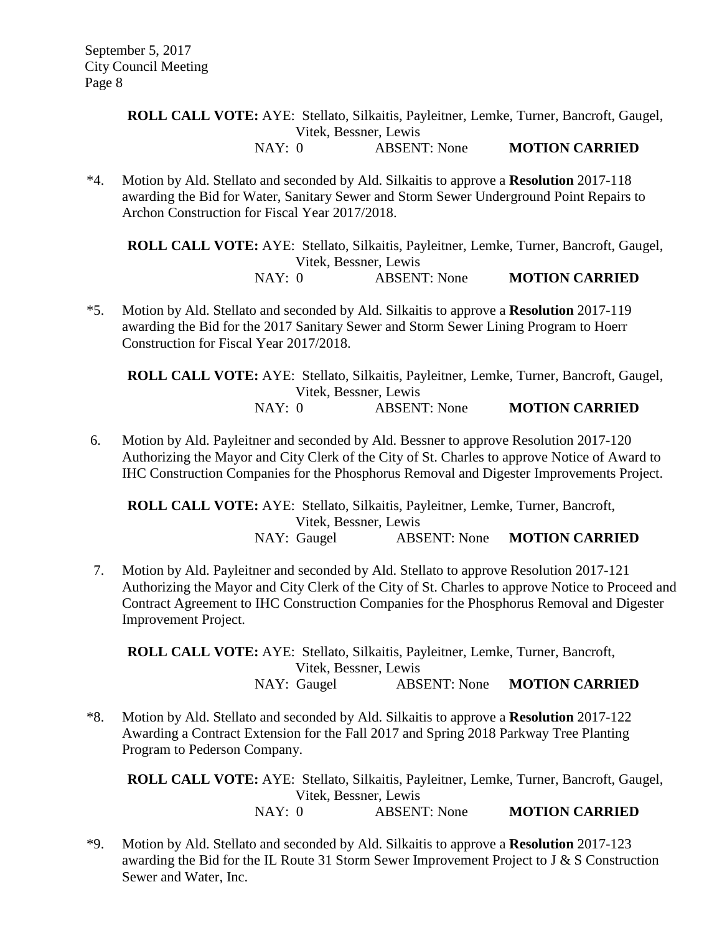**ROLL CALL VOTE:** AYE: Stellato, Silkaitis, Payleitner, Lemke, Turner, Bancroft, Gaugel, Vitek, Bessner, Lewis NAY: 0 ABSENT: None **MOTION CARRIED**

 \*4. Motion by Ald. Stellato and seconded by Ald. Silkaitis to approve a **Resolution** 2017-118 awarding the Bid for Water, Sanitary Sewer and Storm Sewer Underground Point Repairs to Archon Construction for Fiscal Year 2017/2018.

**ROLL CALL VOTE:** AYE: Stellato, Silkaitis, Payleitner, Lemke, Turner, Bancroft, Gaugel, Vitek, Bessner, Lewis NAY: 0 ABSENT: None **MOTION CARRIED**

 \*5. Motion by Ald. Stellato and seconded by Ald. Silkaitis to approve a **Resolution** 2017-119 awarding the Bid for the 2017 Sanitary Sewer and Storm Sewer Lining Program to Hoerr Construction for Fiscal Year 2017/2018.

**ROLL CALL VOTE:** AYE: Stellato, Silkaitis, Payleitner, Lemke, Turner, Bancroft, Gaugel, Vitek, Bessner, Lewis NAY: 0 ABSENT: None **MOTION CARRIED**

6. Motion by Ald. Payleitner and seconded by Ald. Bessner to approve Resolution 2017-120 Authorizing the Mayor and City Clerk of the City of St. Charles to approve Notice of Award to IHC Construction Companies for the Phosphorus Removal and Digester Improvements Project.

**ROLL CALL VOTE:** AYE: Stellato, Silkaitis, Payleitner, Lemke, Turner, Bancroft, Vitek, Bessner, Lewis NAY: Gaugel ABSENT: None **MOTION CARRIED**

 7. Motion by Ald. Payleitner and seconded by Ald. Stellato to approve Resolution 2017-121 Authorizing the Mayor and City Clerk of the City of St. Charles to approve Notice to Proceed and Contract Agreement to IHC Construction Companies for the Phosphorus Removal and Digester Improvement Project.

**ROLL CALL VOTE:** AYE: Stellato, Silkaitis, Payleitner, Lemke, Turner, Bancroft, Vitek, Bessner, Lewis NAY: Gaugel ABSENT: None **MOTION CARRIED**

 \*8. Motion by Ald. Stellato and seconded by Ald. Silkaitis to approve a **Resolution** 2017-122 Awarding a Contract Extension for the Fall 2017 and Spring 2018 Parkway Tree Planting Program to Pederson Company.

**ROLL CALL VOTE:** AYE: Stellato, Silkaitis, Payleitner, Lemke, Turner, Bancroft, Gaugel, Vitek, Bessner, Lewis

- NAY: 0 ABSENT: None **MOTION CARRIED**
- \*9. Motion by Ald. Stellato and seconded by Ald. Silkaitis to approve a **Resolution** 2017-123 awarding the Bid for the IL Route 31 Storm Sewer Improvement Project to J & S Construction Sewer and Water, Inc.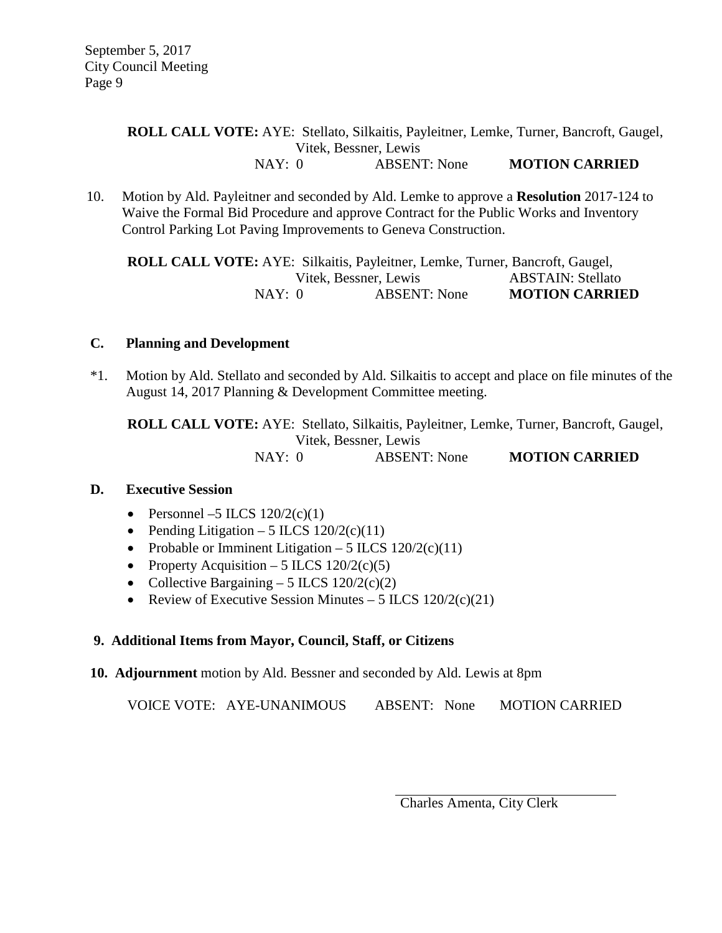### **ROLL CALL VOTE:** AYE: Stellato, Silkaitis, Payleitner, Lemke, Turner, Bancroft, Gaugel, Vitek, Bessner, Lewis NAY: 0 ABSENT: None **MOTION CARRIED**

 10. Motion by Ald. Payleitner and seconded by Ald. Lemke to approve a **Resolution** 2017-124 to Waive the Formal Bid Procedure and approve Contract for the Public Works and Inventory Control Parking Lot Paving Improvements to Geneva Construction.

**ROLL CALL VOTE:** AYE: Silkaitis, Payleitner, Lemke, Turner, Bancroft, Gaugel, Vitek, Bessner, Lewis NAY: 0 ABSENT: None **MOTION CARRIED**

### **C. Planning and Development**

\*1. Motion by Ald. Stellato and seconded by Ald. Silkaitis to accept and place on file minutes of the August 14, 2017 Planning & Development Committee meeting.

**ROLL CALL VOTE:** AYE: Stellato, Silkaitis, Payleitner, Lemke, Turner, Bancroft, Gaugel, Vitek, Bessner, Lewis NAY: 0 ABSENT: None **MOTION CARRIED**

### **D. Executive Session**

- Personnel –5 ILCS  $120/2(c)(1)$
- Pending Litigation 5 ILCS  $120/2(c)(11)$
- Probable or Imminent Litigation 5 ILCS  $120/2(c)(11)$
- Property Acquisition 5 ILCS  $120/2(c)(5)$
- Collective Bargaining 5 ILCS  $120/2(c)(2)$
- Review of Executive Session Minutes 5 ILCS  $120/2(c)(21)$

### **9. Additional Items from Mayor, Council, Staff, or Citizens**

**10. Adjournment** motion by Ald. Bessner and seconded by Ald. Lewis at 8pm

VOICE VOTE: AYE-UNANIMOUS ABSENT: None MOTION CARRIED

Charles Amenta, City Clerk